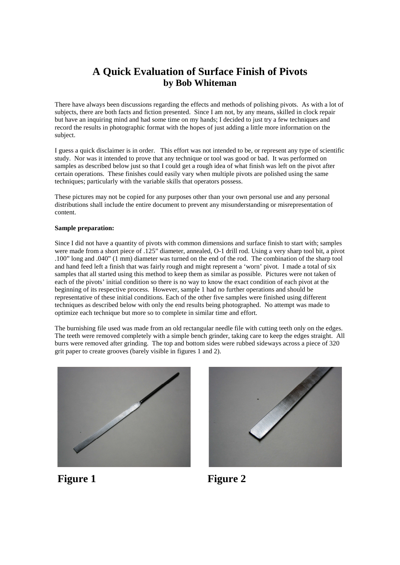# **A Quick Evaluation of Surface Finish of Pivots by Bob Whiteman**

There have always been discussions regarding the effects and methods of polishing pivots. As with a lot of subjects, there are both facts and fiction presented. Since I am not, by any means, skilled in clock repair but have an inquiring mind and had some time on my hands; I decided to just try a few techniques and record the results in photographic format with the hopes of just adding a little more information on the subject.

I guess a quick disclaimer is in order. This effort was not intended to be, or represent any type of scientific study. Nor was it intended to prove that any technique or tool was good or bad. It was performed on samples as described below just so that I could get a rough idea of what finish was left on the pivot after certain operations. These finishes could easily vary when multiple pivots are polished using the same techniques; particularly with the variable skills that operators possess.

These pictures may not be copied for any purposes other than your own personal use and any personal distributions shall include the entire document to prevent any misunderstanding or misrepresentation of content.

#### **Sample preparation:**

Since I did not have a quantity of pivots with common dimensions and surface finish to start with; samples were made from a short piece of .125" diameter, annealed, O-1 drill rod. Using a very sharp tool bit, a pivot .100" long and .040" (1 mm) diameter was turned on the end of the rod. The combination of the sharp tool and hand feed left a finish that was fairly rough and might represent a 'worn' pivot. I made a total of six samples that all started using this method to keep them as similar as possible. Pictures were not taken of each of the pivots' initial condition so there is no way to know the exact condition of each pivot at the beginning of its respective process. However, sample 1 had no further operations and should be representative of these initial conditions. Each of the other five samples were finished using different techniques as described below with only the end results being photographed. No attempt was made to optimize each technique but more so to complete in similar time and effort.

The burnishing file used was made from an old rectangular needle file with cutting teeth only on the edges. The teeth were removed completely with a simple bench grinder, taking care to keep the edges straight. All burrs were removed after grinding. The top and bottom sides were rubbed sideways across a piece of 320 grit paper to create grooves (barely visible in figures 1 and 2).





Figure 1 Figure 2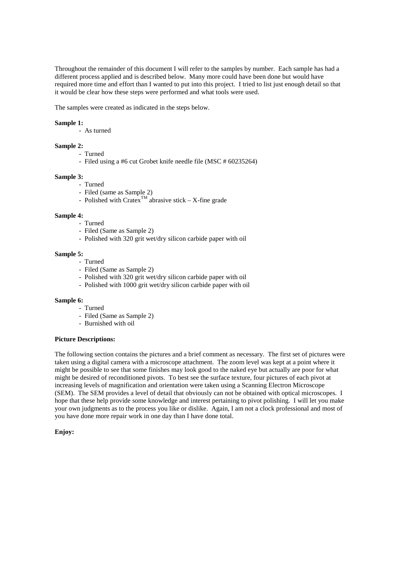Throughout the remainder of this document I will refer to the samples by number. Each sample has had a different process applied and is described below. Many more could have been done but would have required more time and effort than I wanted to put into this project. I tried to list just enough detail so that it would be clear how these steps were performed and what tools were used.

The samples were created as indicated in the steps below.

## **Sample 1:**

- As turned

## **Sample 2:**

- Turned
- Filed using a #6 cut Grobet knife needle file (MSC # 60235264)

#### **Sample 3:**

- Turned
- Filed (same as Sample 2)
- Polished with Cratex<sup>TM</sup> abrasive stick X-fine grade

#### **Sample 4:**

- Turned
- Filed (Same as Sample 2)
- Polished with 320 grit wet/dry silicon carbide paper with oil

# **Sample 5:**

- Turned
- Filed (Same as Sample 2)
- Polished with 320 grit wet/dry silicon carbide paper with oil
- Polished with 1000 grit wet/dry silicon carbide paper with oil

#### **Sample 6:**

- Turned
- Filed (Same as Sample 2)
- Burnished with oil

#### **Picture Descriptions:**

The following section contains the pictures and a brief comment as necessary. The first set of pictures were taken using a digital camera with a microscope attachment. The zoom level was kept at a point where it might be possible to see that some finishes may look good to the naked eye but actually are poor for what might be desired of reconditioned pivots. To best see the surface texture, four pictures of each pivot at increasing levels of magnification and orientation were taken using a Scanning Electron Microscope (SEM). The SEM provides a level of detail that obviously can not be obtained with optical microscopes. I hope that these help provide some knowledge and interest pertaining to pivot polishing. I will let you make your own judgments as to the process you like or dislike. Again, I am not a clock professional and most of you have done more repair work in one day than I have done total.

# **Enjoy:**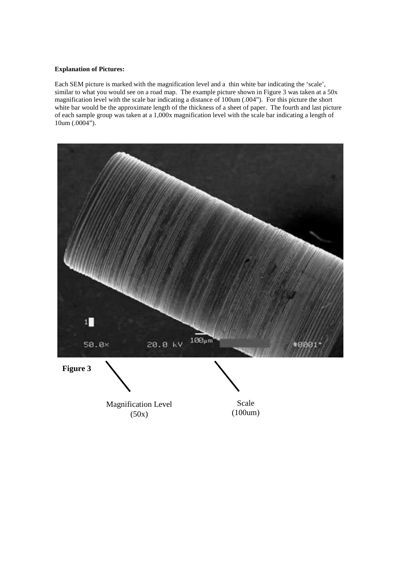# **Explanation of Pictures:**

Each SEM picture is marked with the magnification level and a thin white bar indicating the 'scale', similar to what you would see on a road map. The example picture shown in Figure 3 was taken at a 50x magnification level with the scale bar indicating a distance of 100um (.004"). For this picture the short white bar would be the approximate length of the thickness of a sheet of paper. The fourth and last picture of each sample group was taken at a 1,000x magnification level with the scale bar indicating a length of 10um (.0004").

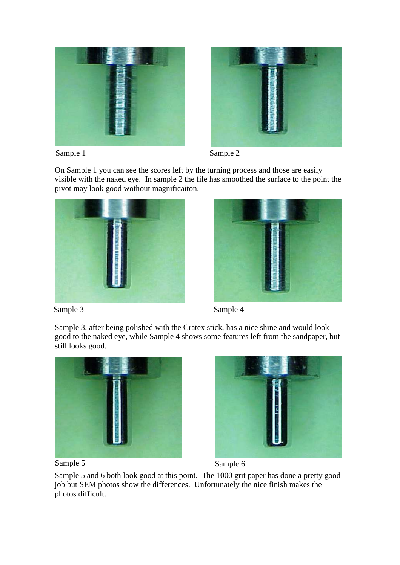



Sample 1 Sample 2

On Sample 1 you can see the scores left by the turning process and those are easily visible with the naked eye. In sample 2 the file has smoothed the surface to the point the pivot may look good wothout magnificaiton.





Sample 3 Sample 4

Sample 3, after being polished with the Cratex stick, has a nice shine and would look good to the naked eye, while Sample 4 shows some features left from the sandpaper, but still looks good.







Sample 5 and 6 both look good at this point. The 1000 grit paper has done a pretty good job but SEM photos show the differences. Unfortunately the nice finish makes the photos difficult.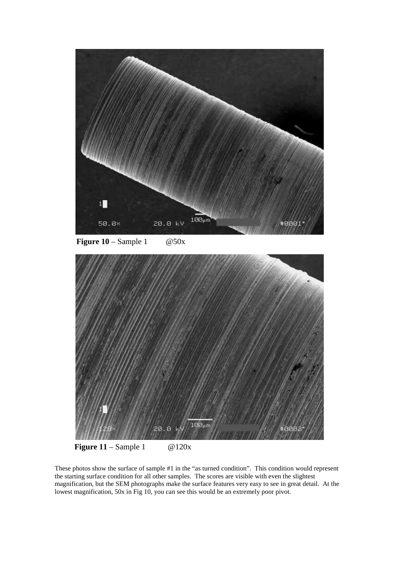

**Figure 10** – Sample 1  $@50x$ 



**Figure 11** – Sample 1 @120x

These photos show the surface of sample #1 in the "as turned condition". This condition would represent the starting surface condition for all other samples. The scores are visible with even the slightest magnification, but the SEM photographs make the surface features very easy to see in great detail. At the lowest magnification, 50x in Fig 10, you can see this would be an extremely poor pivot.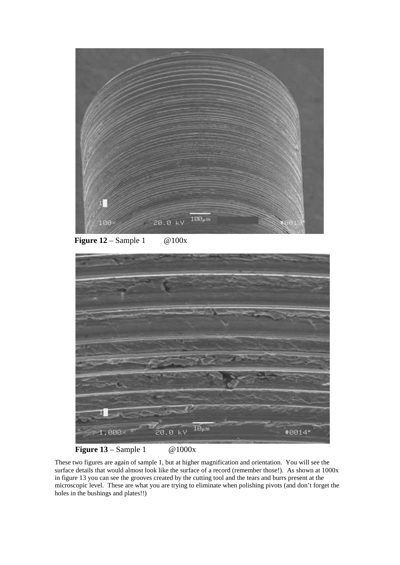

**Figure 12** – Sample 1 @100x



**Figure 13** – Sample 1 @1000x

These two figures are again of sample 1, but at higher magnification and orientation. You will see the surface details that would almost look like the surface of a record (remember those!). As shown at 1000x in figure 13 you can see the grooves created by the cutting tool and the tears and burrs present at the microscopic level. These are what you are trying to eliminate when polishing pivots (and don't forget the holes in the bushings and plates!!)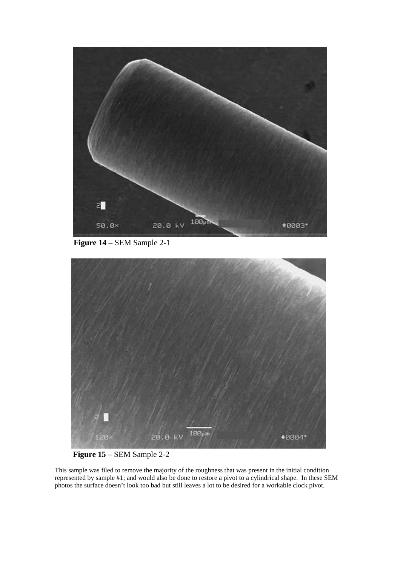

**Figure 14** – SEM Sample 2-1



**Figure 15** – SEM Sample 2-2

This sample was filed to remove the majority of the roughness that was present in the initial condition represented by sample #1; and would also be done to restore a pivot to a cylindrical shape. In these SEM photos the surface doesn't look too bad but still leaves a lot to be desired for a workable clock pivot.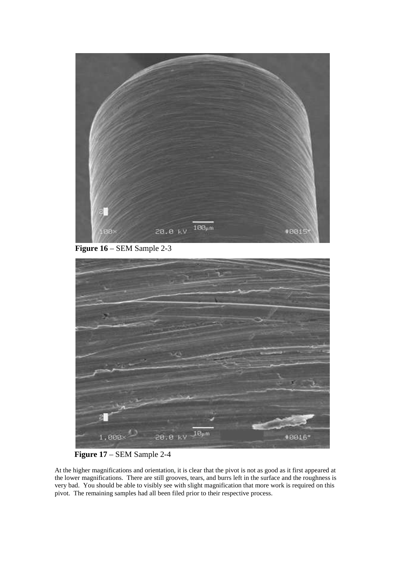

**Figure 16** – SEM Sample 2-3



**Figure 17** – SEM Sample 2-4

At the higher magnifications and orientation, it is clear that the pivot is not as good as it first appeared at the lower magnifications. There are still grooves, tears, and burrs left in the surface and the roughness is very bad. You should be able to visibly see with slight magnification that more work is required on this pivot. The remaining samples had all been filed prior to their respective process.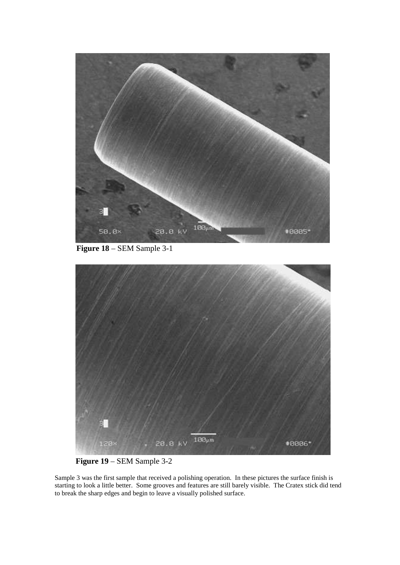

**Figure 18** – SEM Sample 3-1



**Figure 19** – SEM Sample 3-2

Sample 3 was the first sample that received a polishing operation. In these pictures the surface finish is starting to look a little better. Some grooves and features are still barely visible. The Cratex stick did tend to break the sharp edges and begin to leave a visually polished surface.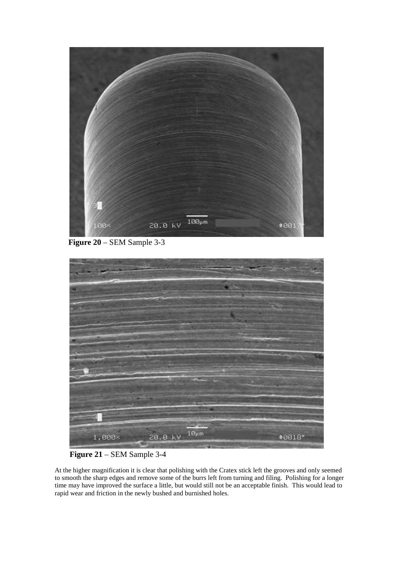

**Figure 20** – SEM Sample 3-3



**Figure 21** – SEM Sample 3-4

At the higher magnification it is clear that polishing with the Cratex stick left the grooves and only seemed to smooth the sharp edges and remove some of the burrs left from turning and filing. Polishing for a longer time may have improved the surface a little, but would still not be an acceptable finish. This would lead to rapid wear and friction in the newly bushed and burnished holes.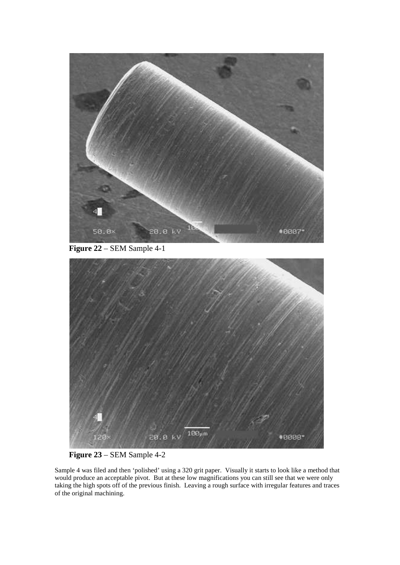

**Figure 22** – SEM Sample 4-1



**Figure 23** – SEM Sample 4-2

Sample 4 was filed and then 'polished' using a 320 grit paper. Visually it starts to look like a method that would produce an acceptable pivot. But at these low magnifications you can still see that we were only taking the high spots off of the previous finish. Leaving a rough surface with irregular features and traces of the original machining.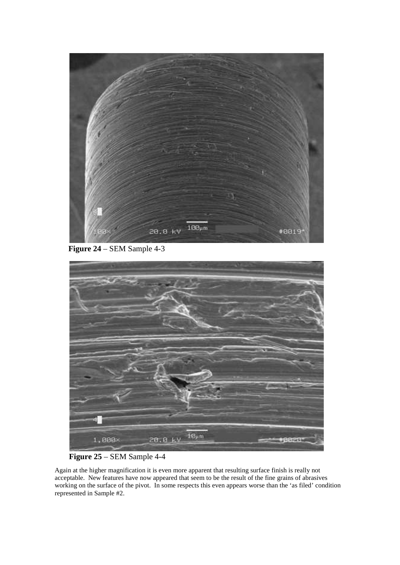

**Figure 24** – SEM Sample 4-3



# **Figure 25** – SEM Sample 4-4

Again at the higher magnification it is even more apparent that resulting surface finish is really not acceptable. New features have now appeared that seem to be the result of the fine grains of abrasives working on the surface of the pivot. In some respects this even appears worse than the 'as filed' condition represented in Sample #2.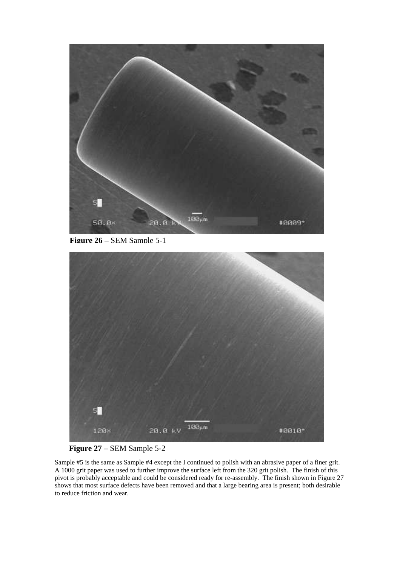

**Figure 26** – SEM Sample 5-1



**Figure 27** – SEM Sample 5-2

Sample #5 is the same as Sample #4 except the I continued to polish with an abrasive paper of a finer grit. A 1000 grit paper was used to further improve the surface left from the 320 grit polish. The finish of this pivot is probably acceptable and could be considered ready for re-assembly. The finish shown in Figure 27 shows that most surface defects have been removed and that a large bearing area is present; both desirable to reduce friction and wear.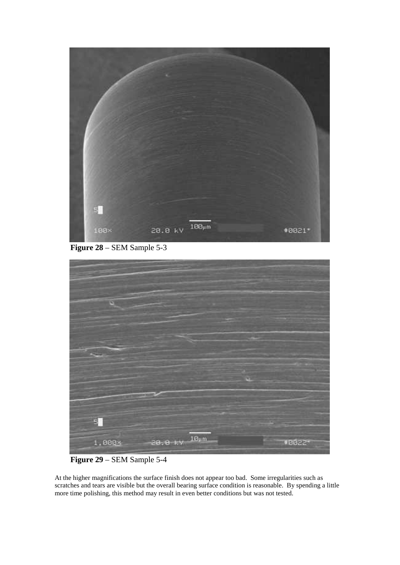

**Figure 28** – SEM Sample 5-3



**Figure 29** – SEM Sample 5-4

At the higher magnifications the surface finish does not appear too bad. Some irregularities such as scratches and tears are visible but the overall bearing surface condition is reasonable. By spending a little more time polishing, this method may result in even better conditions but was not tested.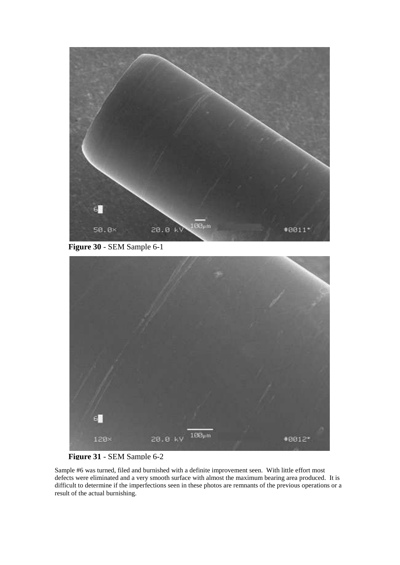

**Figure 30** - SEM Sample 6-1



**Figure 31** - SEM Sample 6-2

Sample #6 was turned, filed and burnished with a definite improvement seen. With little effort most defects were eliminated and a very smooth surface with almost the maximum bearing area produced. It is difficult to determine if the imperfections seen in these photos are remnants of the previous operations or a result of the actual burnishing.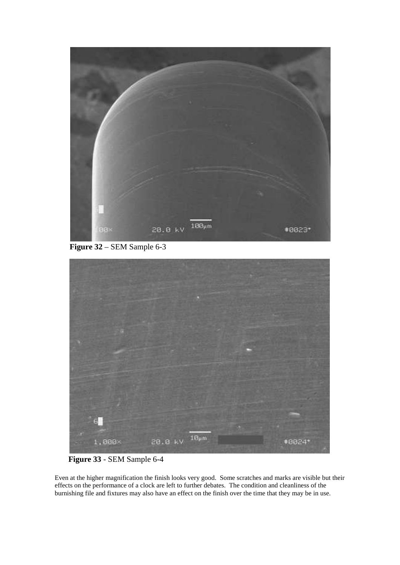

**Figure 32** – SEM Sample 6-3



**Figure 33** - SEM Sample 6-4

Even at the higher magnification the finish looks very good. Some scratches and marks are visible but their effects on the performance of a clock are left to further debates. The condition and cleanliness of the burnishing file and fixtures may also have an effect on the finish over the time that they may be in use.